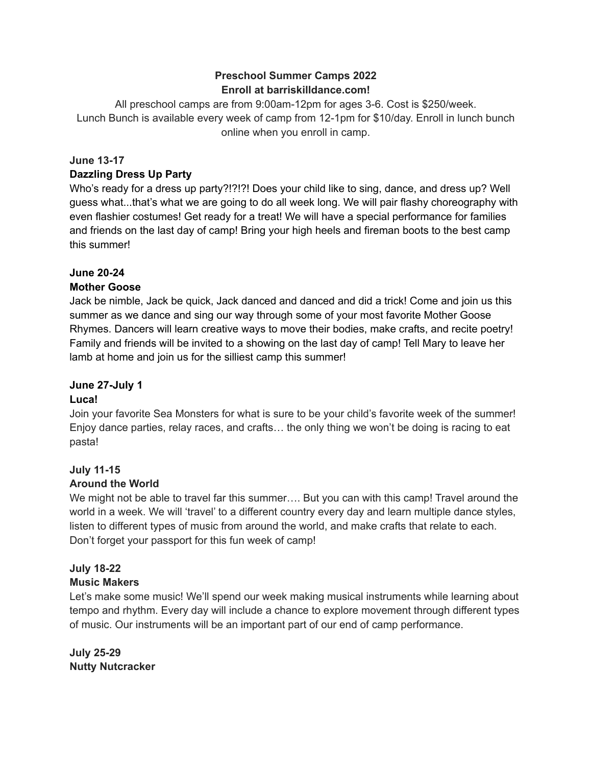## **Preschool Summer Camps 2022 Enroll at barriskilldance.com!**

All preschool camps are from 9:00am-12pm for ages 3-6. Cost is \$250/week. Lunch Bunch is available every week of camp from 12-1pm for \$10/day. Enroll in lunch bunch online when you enroll in camp.

## **June 13-17**

## **Dazzling Dress Up Party**

Who's ready for a dress up party?!?!?! Does your child like to sing, dance, and dress up? Well guess what...that's what we are going to do all week long. We will pair flashy choreography with even flashier costumes! Get ready for a treat! We will have a special performance for families and friends on the last day of camp! Bring your high heels and fireman boots to the best camp this summer!

# **June 20-24**

## **Mother Goose**

Jack be nimble, Jack be quick, Jack danced and danced and did a trick! Come and join us this summer as we dance and sing our way through some of your most favorite Mother Goose Rhymes. Dancers will learn creative ways to move their bodies, make crafts, and recite poetry! Family and friends will be invited to a showing on the last day of camp! Tell Mary to leave her lamb at home and join us for the silliest camp this summer!

## **June 27-July 1**

## **Luca!**

Join your favorite Sea Monsters for what is sure to be your child's favorite week of the summer! Enjoy dance parties, relay races, and crafts… the only thing we won't be doing is racing to eat pasta!

# **July 11-15**

## **Around the World**

We might not be able to travel far this summer…. But you can with this camp! Travel around the world in a week. We will 'travel' to a different country every day and learn multiple dance styles, listen to different types of music from around the world, and make crafts that relate to each. Don't forget your passport for this fun week of camp!

#### **July 18-22 Music Makers**

Let's make some music! We'll spend our week making musical instruments while learning about tempo and rhythm. Every day will include a chance to explore movement through different types of music. Our instruments will be an important part of our end of camp performance.

**July 25-29 Nutty Nutcracker**